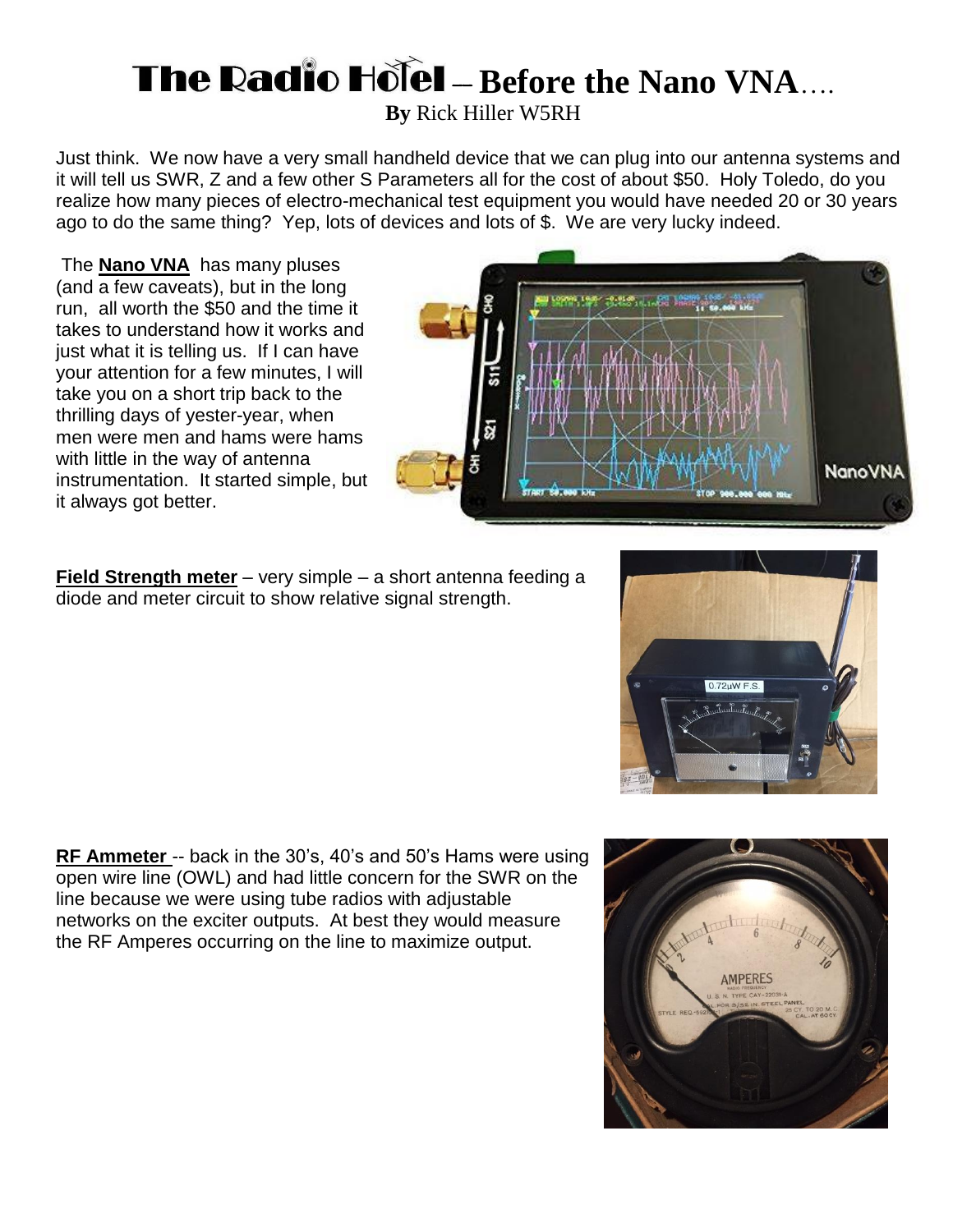## **The Radio Hotel - Before the Nano VNA....**

**By** Rick Hiller W5RH

Just think. We now have a very small handheld device that we can plug into our antenna systems and it will tell us SWR, Z and a few other S Parameters all for the cost of about \$50. Holy Toledo, do you realize how many pieces of electro-mechanical test equipment you would have needed 20 or 30 years ago to do the same thing? Yep, lots of devices and lots of \$. We are very lucky indeed.

The **Nano VNA** has many pluses (and a few caveats), but in the long run, all worth the \$50 and the time it takes to understand how it works and just what it is telling us. If I can have your attention for a few minutes, I will take you on a short trip back to the thrilling days of yester-year, when men were men and hams were hams with little in the way of antenna instrumentation. It started simple, but it always got better.

**Field Strength meter** – very simple – a short antenna feeding a diode and meter circuit to show relative signal strength.

**RF Ammeter** -- back in the 30's, 40's and 50's Hams were using open wire line (OWL) and had little concern for the SWR on the line because we were using tube radios with adjustable networks on the exciter outputs. At best they would measure the RF Amperes occurring on the line to maximize output.







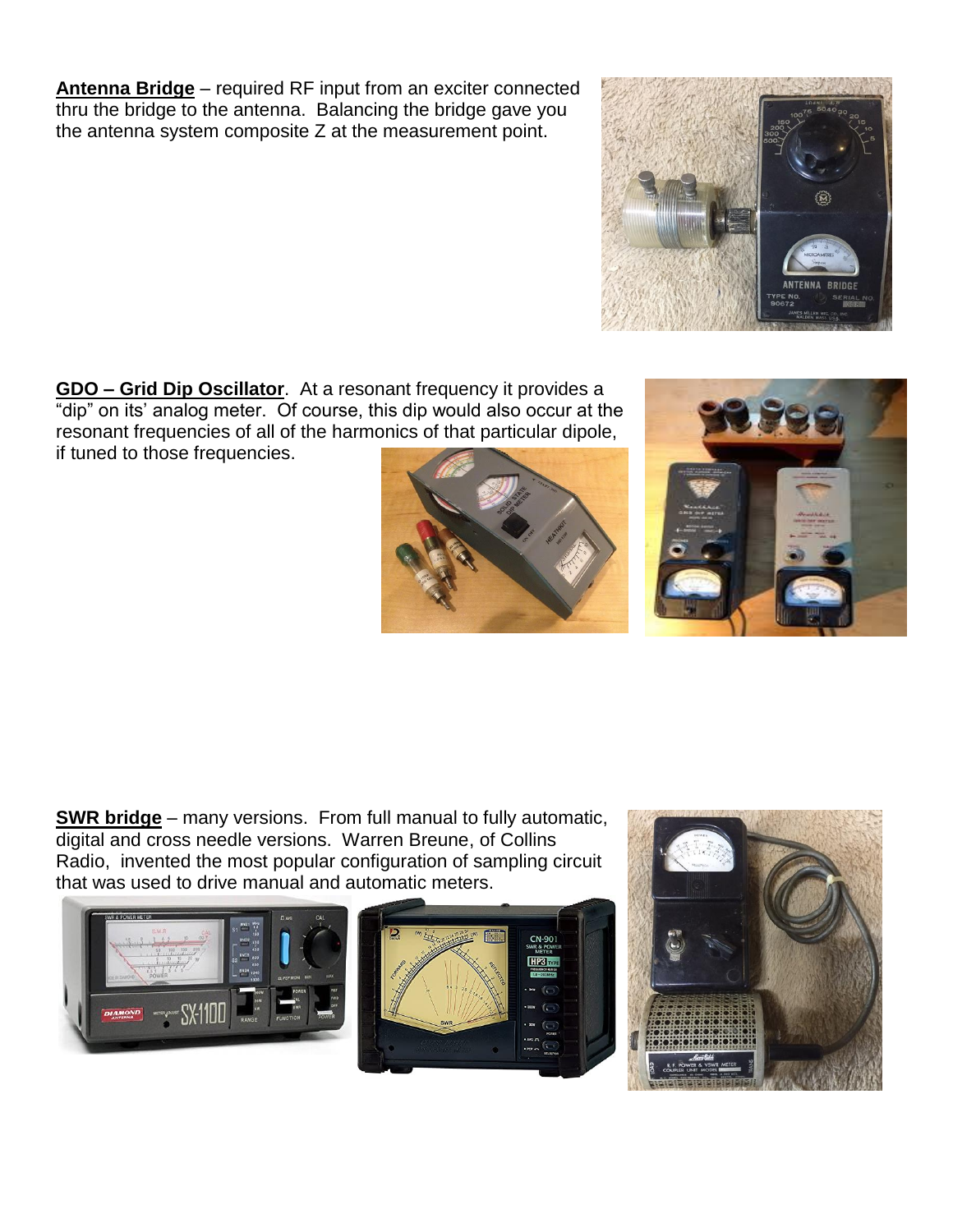**Antenna Bridge** – required RF input from an exciter connected thru the bridge to the antenna. Balancing the bridge gave you the antenna system composite Z at the measurement point.

**GDO – Grid Dip Oscillator**. At a resonant frequency it provides a "dip" on its' analog meter. Of course, this dip would also occur at the resonant frequencies of all of the harmonics of that particular dipole, if tuned to those frequencies.

**SWR bridge** – many versions. From full manual to fully automatic, digital and cross needle versions. Warren Breune, of Collins Radio, invented the most popular configuration of sampling circuit











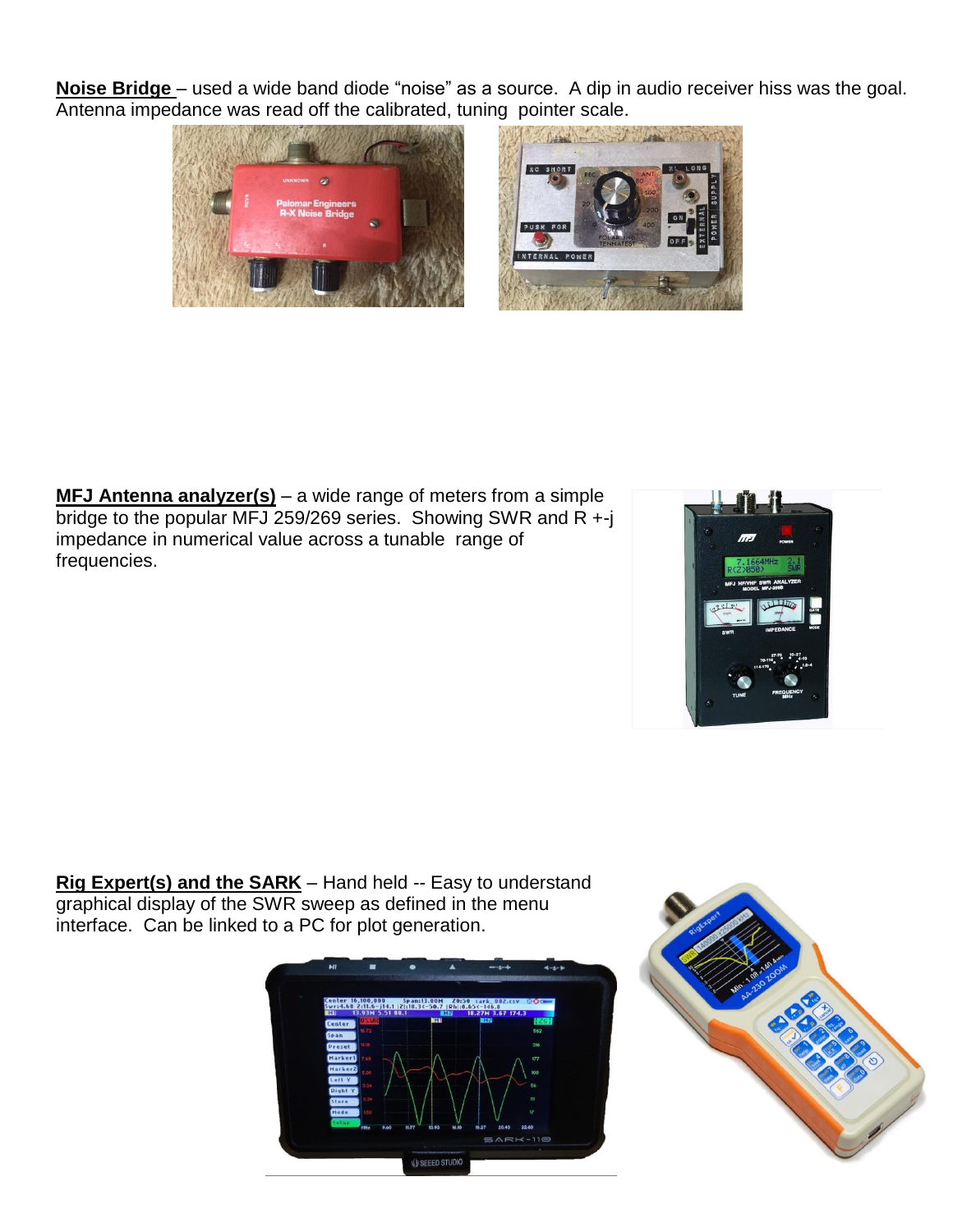**Noise Bridge** – used a wide band diode "noise" as a source. A dip in audio receiver hiss was the goal. Antenna impedance was read off the calibrated, tuning pointer scale.



**MFJ Antenna analyzer(s)** – a wide range of meters from a simple bridge to the popular MFJ 259/269 series. Showing SWR and  $R + j$ impedance in numerical value across a tunable range of frequencies.



**Rig Expert(s) and the SARK** – Hand held -- Easy to understand graphical display of the SWR sweep as defined in the menu interface. Can be linked to a PC for plot generation.